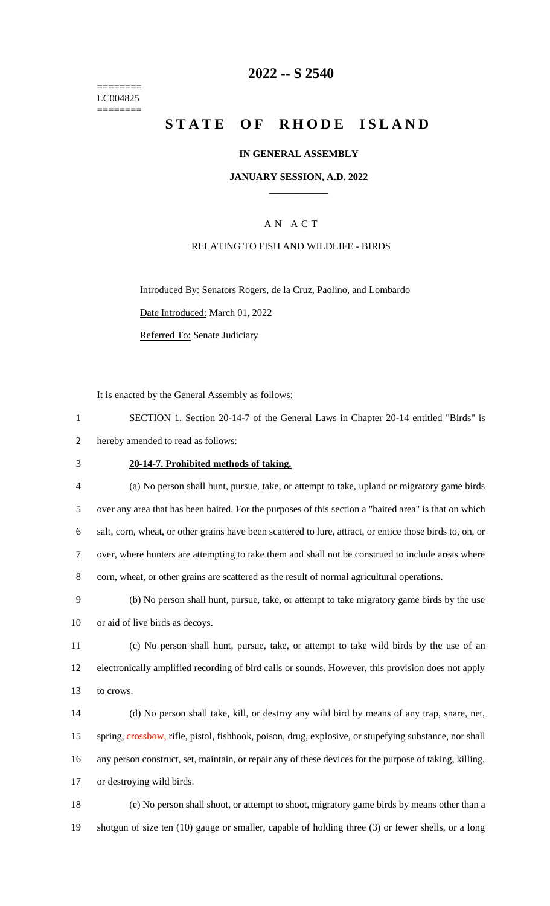======== LC004825 ========

## **2022 -- S 2540**

# **STATE OF RHODE ISLAND**

#### **IN GENERAL ASSEMBLY**

#### **JANUARY SESSION, A.D. 2022 \_\_\_\_\_\_\_\_\_\_\_\_**

## A N A C T

#### RELATING TO FISH AND WILDLIFE - BIRDS

Introduced By: Senators Rogers, de la Cruz, Paolino, and Lombardo Date Introduced: March 01, 2022 Referred To: Senate Judiciary

It is enacted by the General Assembly as follows:

1 SECTION 1. Section 20-14-7 of the General Laws in Chapter 20-14 entitled "Birds" is 2 hereby amended to read as follows:

#### 3 **20-14-7. Prohibited methods of taking.**

 (a) No person shall hunt, pursue, take, or attempt to take, upland or migratory game birds over any area that has been baited. For the purposes of this section a "baited area" is that on which salt, corn, wheat, or other grains have been scattered to lure, attract, or entice those birds to, on, or over, where hunters are attempting to take them and shall not be construed to include areas where 8 corn, wheat, or other grains are scattered as the result of normal agricultural operations.

9 (b) No person shall hunt, pursue, take, or attempt to take migratory game birds by the use 10 or aid of live birds as decoys.

11 (c) No person shall hunt, pursue, take, or attempt to take wild birds by the use of an 12 electronically amplified recording of bird calls or sounds. However, this provision does not apply 13 to crows.

 (d) No person shall take, kill, or destroy any wild bird by means of any trap, snare, net, 15 spring, **erossbow**, rifle, pistol, fishhook, poison, drug, explosive, or stupefying substance, nor shall any person construct, set, maintain, or repair any of these devices for the purpose of taking, killing, or destroying wild birds.

18 (e) No person shall shoot, or attempt to shoot, migratory game birds by means other than a 19 shotgun of size ten (10) gauge or smaller, capable of holding three (3) or fewer shells, or a long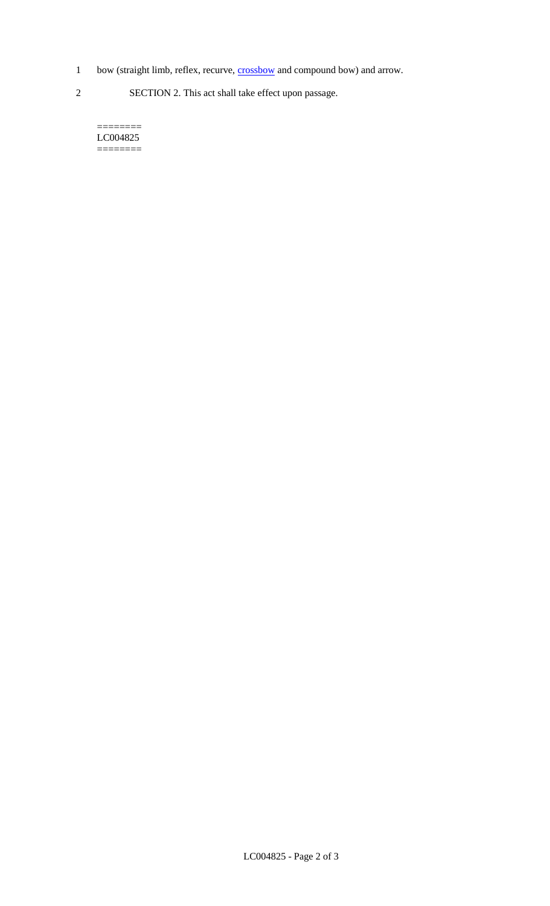- 1 bow (straight limb, reflex, recurve, **crossbow** and compound bow) and arrow.
- 2 SECTION 2. This act shall take effect upon passage.

======== LC004825 ========